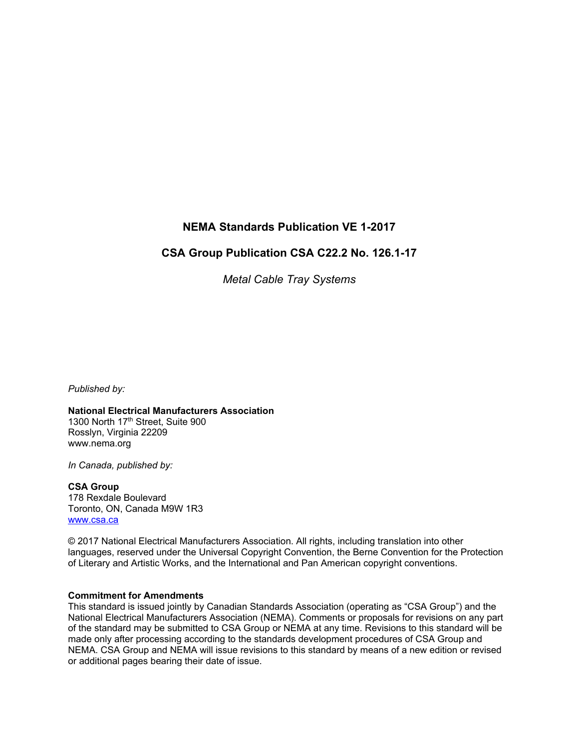# **NEMA Standards Publication VE 1-2017**

## **CSA Group Publication CSA C22.2 No. 126.1-17**

*Metal Cable Tray Systems*

*Published by:*

**National Electrical Manufacturers Association** 1300 North 17<sup>th</sup> Street, Suite 900 Rosslyn, Virginia 22209 [www.nema.org](http://www.nema.org/) 

*In Canada, published by:*

**CSA Group** 178 Rexdale Boulevard Toronto, ON, Canada M9W 1R3

[www.csa.ca](http://www.csa.ca/)

© 2017 National Electrical Manufacturers Association. All rights, including translation into other languages, reserved under the Universal Copyright Convention, the Berne Convention for the Protection of Literary and Artistic Works, and the International and Pan American copyright conventions.

### **Commitment for Amendments**

This standard is issued jointly by Canadian Standards Association (operating as "CSA Group") and the National Electrical Manufacturers Association (NEMA). Comments or proposals for revisions on any part of the standard may be submitted to CSA Group or NEMA at any time. Revisions to this standard will be made only after processing according to the standards development procedures of CSA Group and NEMA. CSA Group and NEMA will issue revisions to this standard by means of a new edition or revised or additional pages bearing their date of issue.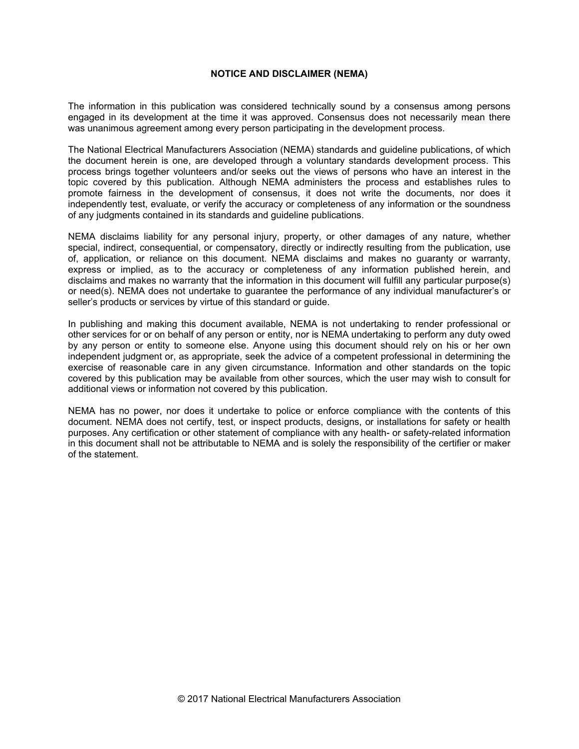#### **NOTICE AND DISCLAIMER (NEMA)**

The information in this publication was considered technically sound by a consensus among persons engaged in its development at the time it was approved. Consensus does not necessarily mean there was unanimous agreement among every person participating in the development process.

The National Electrical Manufacturers Association (NEMA) standards and guideline publications, of which the document herein is one, are developed through a voluntary standards development process. This process brings together volunteers and/or seeks out the views of persons who have an interest in the topic covered by this publication. Although NEMA administers the process and establishes rules to promote fairness in the development of consensus, it does not write the documents, nor does it independently test, evaluate, or verify the accuracy or completeness of any information or the soundness of any judgments contained in its standards and guideline publications.

NEMA disclaims liability for any personal injury, property, or other damages of any nature, whether special, indirect, consequential, or compensatory, directly or indirectly resulting from the publication, use of, application, or reliance on this document. NEMA disclaims and makes no guaranty or warranty, express or implied, as to the accuracy or completeness of any information published herein, and disclaims and makes no warranty that the information in this document will fulfill any particular purpose(s) or need(s). NEMA does not undertake to guarantee the performance of any individual manufacturer's or seller's products or services by virtue of this standard or guide.

In publishing and making this document available, NEMA is not undertaking to render professional or other services for or on behalf of any person or entity, nor is NEMA undertaking to perform any duty owed by any person or entity to someone else. Anyone using this document should rely on his or her own independent judgment or, as appropriate, seek the advice of a competent professional in determining the exercise of reasonable care in any given circumstance. Information and other standards on the topic covered by this publication may be available from other sources, which the user may wish to consult for additional views or information not covered by this publication.

NEMA has no power, nor does it undertake to police or enforce compliance with the contents of this document. NEMA does not certify, test, or inspect products, designs, or installations for safety or health purposes. Any certification or other statement of compliance with any health- or safety-related information in this document shall not be attributable to NEMA and is solely the responsibility of the certifier or maker of the statement.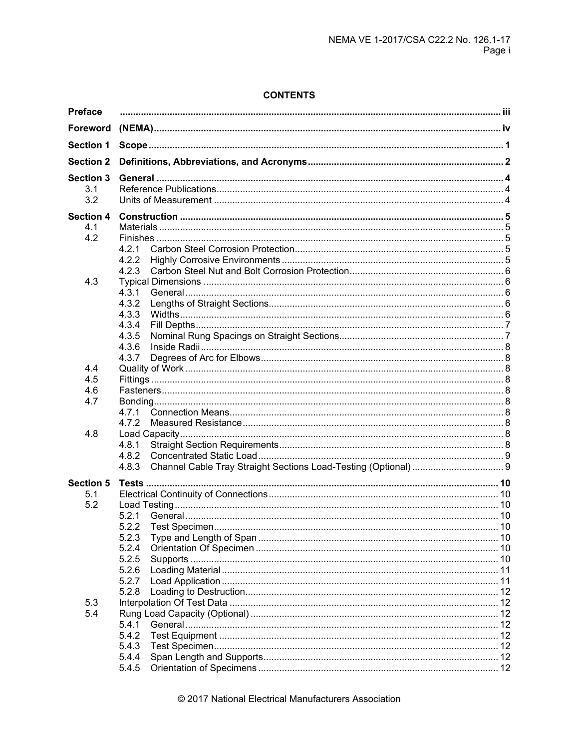## **CONTENTS**

| <b>Foreword</b><br><b>Section 1</b><br><b>Section 2</b><br><b>Section 3</b><br>3.1<br>3.2<br><b>Section 4</b><br>4.1<br>4.2<br>4.2.1<br>4.2.2<br>4.2.3<br>4.3<br>4.3.1<br>4.3.2<br>4.3.3<br>4.3.4<br>4.3.5<br>4.3.6<br>4.3.7<br>4.4<br>4.5<br>4.6<br>4.7<br>4.7.2<br>4.8<br>4.8.1<br>4.8.2<br>4.8.3<br><b>Section 5</b><br>5.1<br>5.2 |
|---------------------------------------------------------------------------------------------------------------------------------------------------------------------------------------------------------------------------------------------------------------------------------------------------------------------------------------|
|                                                                                                                                                                                                                                                                                                                                       |
|                                                                                                                                                                                                                                                                                                                                       |
|                                                                                                                                                                                                                                                                                                                                       |
|                                                                                                                                                                                                                                                                                                                                       |
|                                                                                                                                                                                                                                                                                                                                       |
|                                                                                                                                                                                                                                                                                                                                       |
|                                                                                                                                                                                                                                                                                                                                       |
|                                                                                                                                                                                                                                                                                                                                       |
|                                                                                                                                                                                                                                                                                                                                       |
|                                                                                                                                                                                                                                                                                                                                       |
|                                                                                                                                                                                                                                                                                                                                       |
|                                                                                                                                                                                                                                                                                                                                       |
|                                                                                                                                                                                                                                                                                                                                       |
|                                                                                                                                                                                                                                                                                                                                       |
|                                                                                                                                                                                                                                                                                                                                       |
|                                                                                                                                                                                                                                                                                                                                       |
|                                                                                                                                                                                                                                                                                                                                       |
|                                                                                                                                                                                                                                                                                                                                       |
|                                                                                                                                                                                                                                                                                                                                       |
|                                                                                                                                                                                                                                                                                                                                       |
|                                                                                                                                                                                                                                                                                                                                       |
|                                                                                                                                                                                                                                                                                                                                       |
|                                                                                                                                                                                                                                                                                                                                       |
|                                                                                                                                                                                                                                                                                                                                       |
|                                                                                                                                                                                                                                                                                                                                       |
|                                                                                                                                                                                                                                                                                                                                       |
|                                                                                                                                                                                                                                                                                                                                       |
|                                                                                                                                                                                                                                                                                                                                       |
|                                                                                                                                                                                                                                                                                                                                       |
|                                                                                                                                                                                                                                                                                                                                       |
|                                                                                                                                                                                                                                                                                                                                       |
|                                                                                                                                                                                                                                                                                                                                       |
|                                                                                                                                                                                                                                                                                                                                       |
| 5.2.1                                                                                                                                                                                                                                                                                                                                 |
| 5.2.2                                                                                                                                                                                                                                                                                                                                 |
| 5.2.3                                                                                                                                                                                                                                                                                                                                 |
| 5.2.4                                                                                                                                                                                                                                                                                                                                 |
| 5.2.5                                                                                                                                                                                                                                                                                                                                 |
| 5.2.6                                                                                                                                                                                                                                                                                                                                 |
| 5.2.7                                                                                                                                                                                                                                                                                                                                 |
| 5.2.8                                                                                                                                                                                                                                                                                                                                 |
| 5.3                                                                                                                                                                                                                                                                                                                                   |
| 5.4                                                                                                                                                                                                                                                                                                                                   |
| 5.4.1                                                                                                                                                                                                                                                                                                                                 |
| 5.4.2                                                                                                                                                                                                                                                                                                                                 |
| 5.4.3                                                                                                                                                                                                                                                                                                                                 |
| 5.4.4                                                                                                                                                                                                                                                                                                                                 |
| 5.4.5                                                                                                                                                                                                                                                                                                                                 |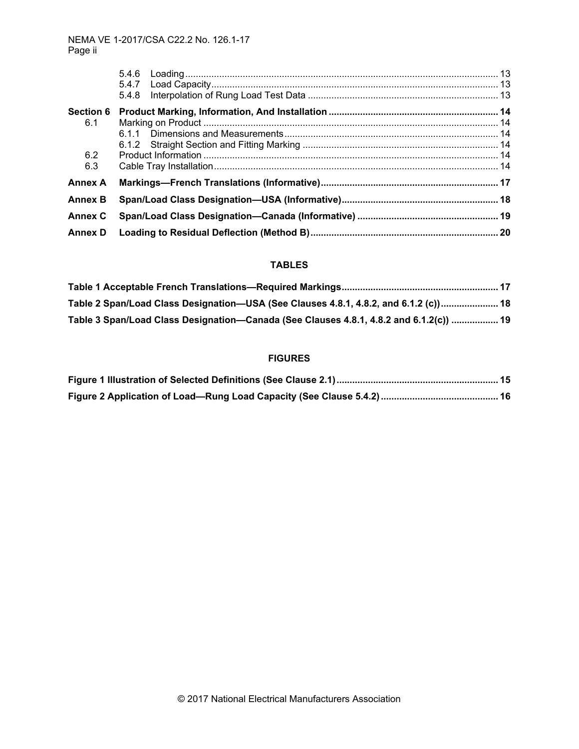|                  | 5.4.8 |  |
|------------------|-------|--|
| <b>Section 6</b> |       |  |
| 6.1              |       |  |
|                  |       |  |
|                  |       |  |
| 6.2              |       |  |
| 6.3              |       |  |
| <b>Annex A</b>   |       |  |
| <b>Annex B</b>   |       |  |
| <b>Annex C</b>   |       |  |
| <b>Annex D</b>   |       |  |
|                  |       |  |

### **TABLES**

| Table 2 Span/Load Class Designation—USA (See Clauses 4.8.1, 4.8.2, and 6.1.2 (c)) 18   |  |
|----------------------------------------------------------------------------------------|--|
| Table 3 Span/Load Class Designation—Canada (See Clauses 4.8.1, 4.8.2 and 6.1.2(c))  19 |  |

### **FIGURES**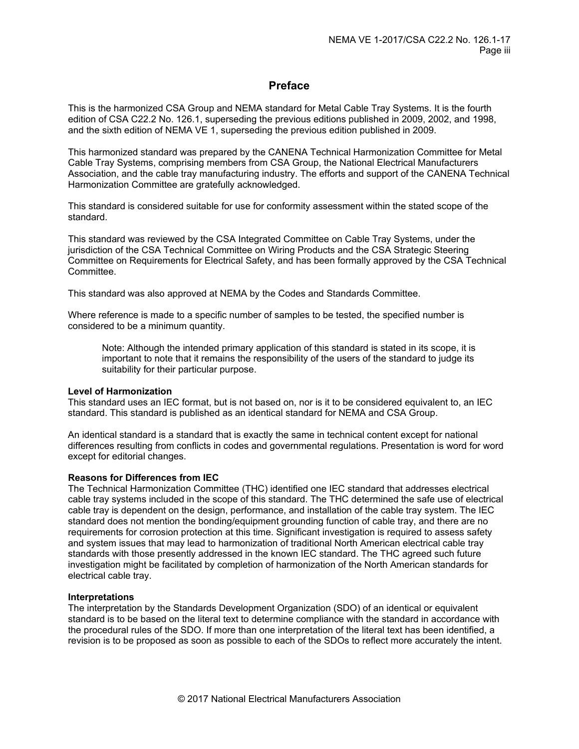### **Preface**

<span id="page-4-0"></span>This is the harmonized CSA Group and NEMA standard for Metal Cable Tray Systems. It is the fourth edition of CSA C22.2 No. 126.1, superseding the previous editions published in 2009, 2002, and 1998, and the sixth edition of NEMA VE 1, superseding the previous edition published in 2009.

This harmonized standard was prepared by the CANENA Technical Harmonization Committee for Metal Cable Tray Systems, comprising members from CSA Group, the National Electrical Manufacturers Association, and the cable tray manufacturing industry. The efforts and support of the CANENA Technical Harmonization Committee are gratefully acknowledged.

This standard is considered suitable for use for conformity assessment within the stated scope of the standard.

This standard was reviewed by the CSA Integrated Committee on Cable Tray Systems, under the jurisdiction of the CSA Technical Committee on Wiring Products and the CSA Strategic Steering Committee on Requirements for Electrical Safety, and has been formally approved by the CSA Technical Committee.

This standard was also approved at NEMA by the Codes and Standards Committee.

Where reference is made to a specific number of samples to be tested, the specified number is considered to be a minimum quantity.

Note: Although the intended primary application of this standard is stated in its scope, it is important to note that it remains the responsibility of the users of the standard to judge its suitability for their particular purpose.

#### **Level of Harmonization**

This standard uses an IEC format, but is not based on, nor is it to be considered equivalent to, an IEC standard. This standard is published as an identical standard for NEMA and CSA Group.

An identical standard is a standard that is exactly the same in technical content except for national differences resulting from conflicts in codes and governmental regulations. Presentation is word for word except for editorial changes.

#### **Reasons for Differences from IEC**

The Technical Harmonization Committee (THC) identified one IEC standard that addresses electrical cable tray systems included in the scope of this standard. The THC determined the safe use of electrical cable tray is dependent on the design, performance, and installation of the cable tray system. The IEC standard does not mention the bonding/equipment grounding function of cable tray, and there are no requirements for corrosion protection at this time. Significant investigation is required to assess safety and system issues that may lead to harmonization of traditional North American electrical cable tray standards with those presently addressed in the known IEC standard. The THC agreed such future investigation might be facilitated by completion of harmonization of the North American standards for electrical cable tray.

#### **Interpretations**

The interpretation by the Standards Development Organization (SDO) of an identical or equivalent standard is to be based on the literal text to determine compliance with the standard in accordance with the procedural rules of the SDO. If more than one interpretation of the literal text has been identified, a revision is to be proposed as soon as possible to each of the SDOs to reflect more accurately the intent.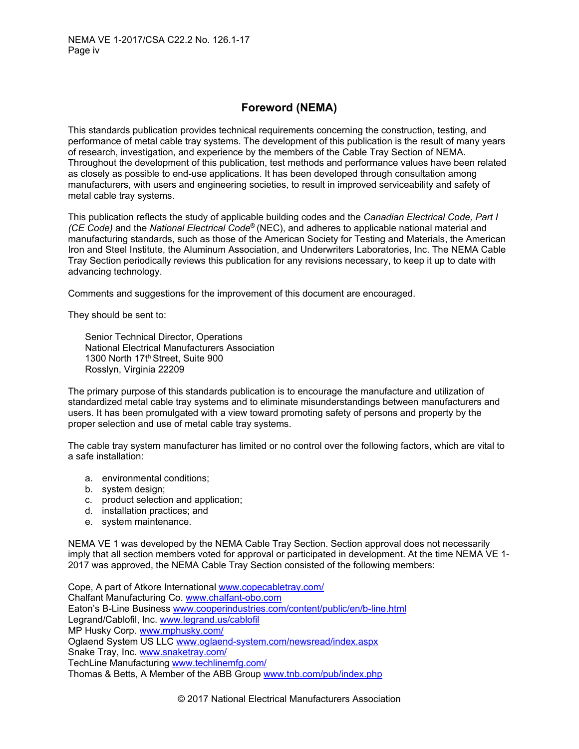## **Foreword (NEMA)**

<span id="page-5-0"></span>This standards publication provides technical requirements concerning the construction, testing, and performance of metal cable tray systems. The development of this publication is the result of many years of research, investigation, and experience by the members of the Cable Tray Section of NEMA. Throughout the development of this publication, test methods and performance values have been related as closely as possible to end-use applications. It has been developed through consultation among manufacturers, with users and engineering societies, to result in improved serviceability and safety of metal cable tray systems.

This publication reflects the study of applicable building codes and the *Canadian Electrical Code, Part I (CE Code)* and the *National Electrical Code*® (NEC), and adheres to applicable national material and manufacturing standards, such as those of the American Society for Testing and Materials, the American Iron and Steel Institute, the Aluminum Association, and Underwriters Laboratories, Inc. The NEMA Cable Tray Section periodically reviews this publication for any revisions necessary, to keep it up to date with advancing technology.

Comments and suggestions for the improvement of this document are encouraged.

They should be sent to:

Senior Technical Director, Operations National Electrical Manufacturers Association 1300 North 17th Street, Suite 900 Rosslyn, Virginia 22209

The primary purpose of this standards publication is to encourage the manufacture and utilization of standardized metal cable tray systems and to eliminate misunderstandings between manufacturers and users. It has been promulgated with a view toward promoting safety of persons and property by the proper selection and use of metal cable tray systems.

The cable tray system manufacturer has limited or no control over the following factors, which are vital to a safe installation:

- a. environmental conditions;
- b. system design;
- c. product selection and application;
- d. installation practices; and
- e. system maintenance.

NEMA VE 1 was developed by the NEMA Cable Tray Section. Section approval does not necessarily imply that all section members voted for approval or participated in development. At the time NEMA VE 1- 2017 was approved, the NEMA Cable Tray Section consisted of the following members:

Cope, A part of Atkore International [www.copecabletray.com/](http://www.copecabletray.com/) Chalfant Manufacturing Co. [www.chalfant-obo.com](http://www.chalfant-obo.com/) Eaton's B-Line Business [www.cooperindustries.com/content/public/en/b-line.html](http://www.cooperindustries.com/content/public/en/b-line.html) Legrand/Cablofil, Inc. [www.legrand.us/cablofil](http://www.legrand.us/cablofil) MP Husky Corp. [www.mphusky.com/](http://www.mphusky.com/) Oglaend System US LLC [www.oglaend-system.com/newsread/index.aspx](http://www.oglaend-system.com/newsread/index.aspx) Snake Tray, Inc. [www.snaketray.com/](http://www.snaketray.com/) TechLine Manufacturing [www.techlinemfg.com/](http://www.techlinemfg.com/) Thomas & Betts, A Member of the ABB Group [www.tnb.com/pub/index.php](http://www.tnb.com/pub/index.php)